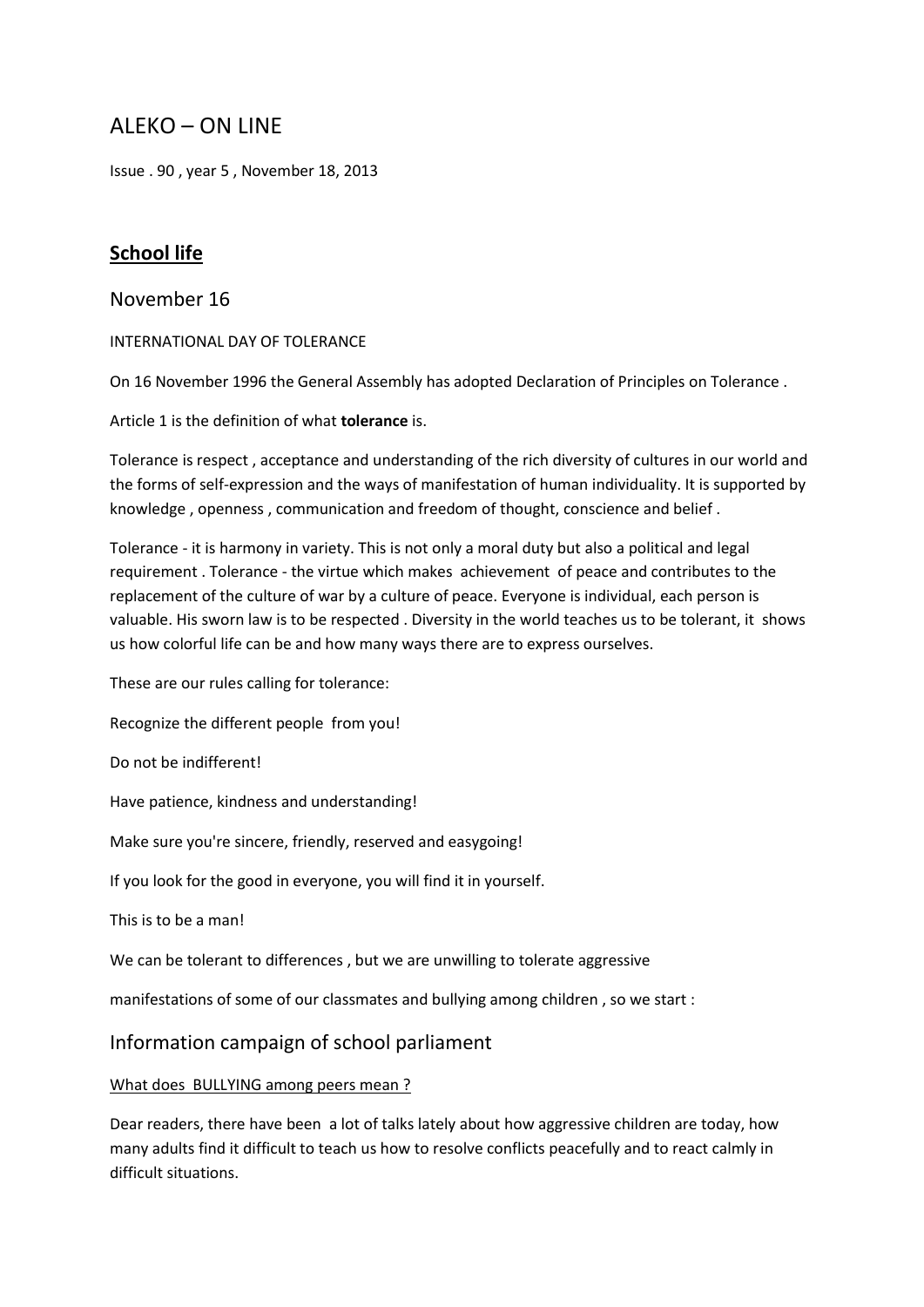# ALEKO – ON LINE

Issue . 90 , year 5 , November 18, 2013

# **School life**

November 16

INTERNATIONAL DAY OF TOLERANCE

On 16 November 1996 the General Assembly has adopted Declaration of Principles on Tolerance .

Article 1 is the definition of what **tolerance** is.

Tolerance is respect , acceptance and understanding of the rich diversity of cultures in our world and the forms of self-expression and the ways of manifestation of human individuality. It is supported by knowledge , openness , communication and freedom of thought, conscience and belief .

Tolerance - it is harmony in variety. This is not only a moral duty but also a political and legal requirement . Tolerance - the virtue which makes achievement оf peace and contributes to the replacement of the culture of war by a culture of peace. Everyone is individual, each person is valuable. His sworn law is to be respected . Diversity in the world teaches us to be tolerant, it shows us how colorful life can be and how many ways there are to express ourselves.

These are our rules calling for tolerance:

Recognize the different people from you!

Do not be indifferent!

Have patience, kindness and understanding!

Make sure you're sincere, friendly, reserved and easygoing!

If you look for the good in everyone, you will find it in yourself.

This is to be a man!

We can be tolerant to differences , but we are unwilling to tolerate aggressive

manifestations of some of our classmates and bullying among children , so we start :

Information campaign of school parliament

#### What does BULLYING among peers mean ?

Dear readers, there have been a lot of talks lately about how aggressive children are today, how many adults find it difficult to teach us how to resolve conflicts peacefully and to react calmly in difficult situations.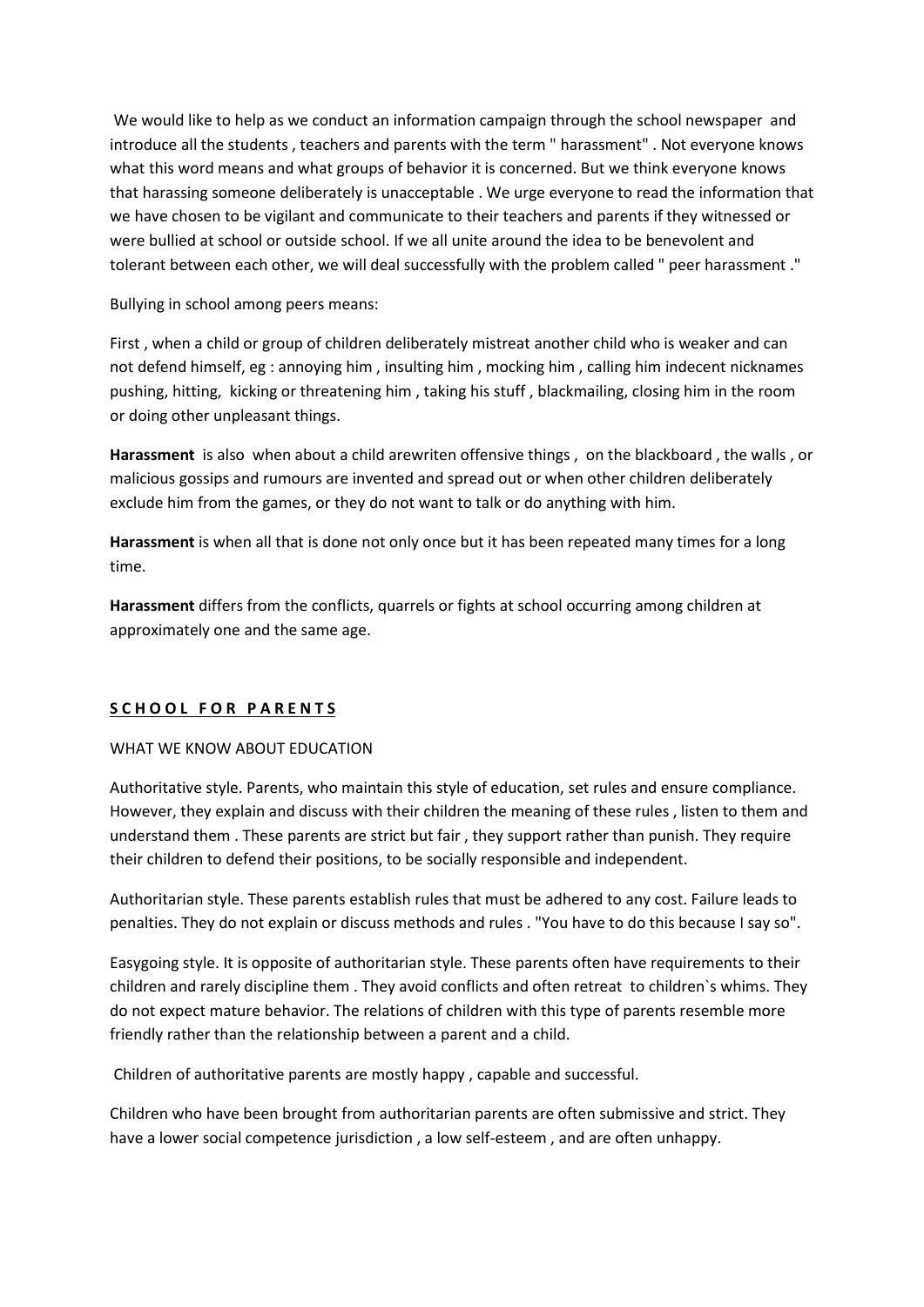We would like to help as we conduct an information campaign through the school newspaper and introduce all the students , teachers and parents with the term " harassment" . Not everyone knows what this word means and what groups of behavior it is concerned. But we think everyone knows that harassing someone deliberately is unacceptable . We urge everyone to read the information that we have chosen to be vigilant and communicate to their teachers and parents if they witnessed or were bullied at school or outside school. If we all unite around the idea to be benevolent and tolerant between each other, we will deal successfully with the problem called " peer harassment ."

Bullying in school among peers means:

First , when a child or group of children deliberately mistreat another child who is weaker and can not defend himself, eg : annoying him , insulting him , mocking him , calling him indecent nicknames pushing, hitting, kicking or threatening him , taking his stuff , blackmailing, closing him in the room or doing other unpleasant things.

**Harassment** is also when about a child arewriten offensive things , on the blackboard , the walls , or malicious gossips and rumours are invented and spread out or when other children deliberately exclude him from the games, or they do not want to talk or do anything with him.

**Harassment** is when all that is done not only once but it has been repeated many times for a long time.

**Harassment** differs from the conflicts, quarrels or fights at school occurring among children at approximately one and the same age.

#### **S C H O O L F O R P A R E N T S**

#### WHAT WE KNOW ABOUT EDUCATION

Authoritative style. Parents, who maintain this style of education, set rules and ensure compliance. However, they explain and discuss with their children the meaning of these rules , listen to them and understand them . These parents are strict but fair , they support rather than punish. They require their children to defend their positions, to be socially responsible and independent.

Authoritarian style. These parents establish rules that must be adhered to any cost. Failure leads to penalties. They do not explain or discuss methods and rules . "You have to do this because I say so".

Easygoing style. It is opposite of authoritarian style. These parents often have requirements to their children and rarely discipline them . They avoid conflicts and often retreat to children`s whims. They do not expect mature behavior. The relations of children with this type of parents resemble more friendly rather than the relationship between a parent and a child.

Children of authoritative parents are mostly happy , capable and successful.

Children who have been brought from authoritarian parents are often submissive and strict. They have a lower social competence jurisdiction , a low self-esteem , and are often unhappy.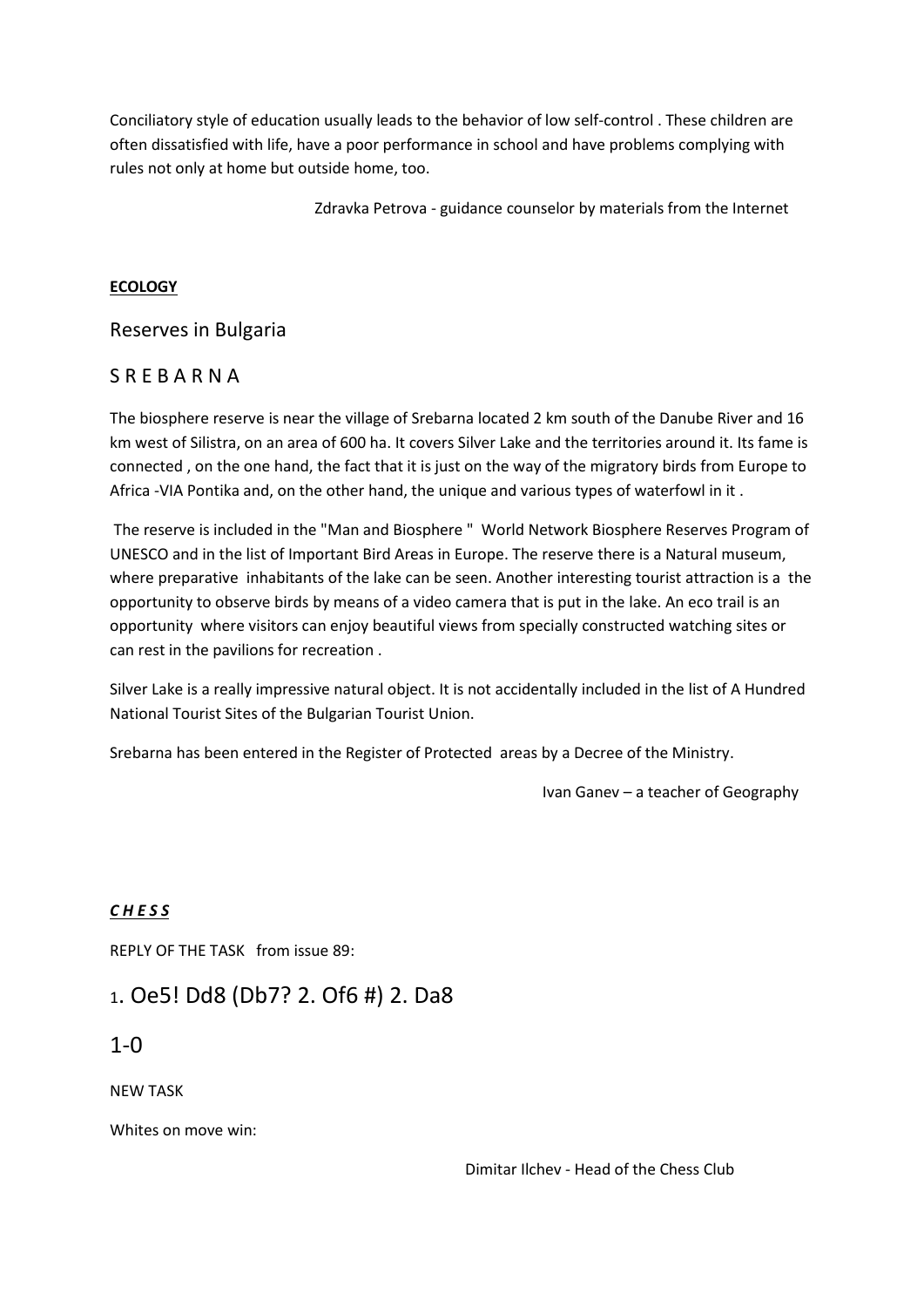Conciliatory style of education usually leads to the behavior of low self-control . These children are often dissatisfied with life, have a poor performance in school and have problems complying with rules not only at home but outside home, too.

Zdravka Petrova - guidance counselor by materials from the Internet

### **ECOLOGY**

### Reserves in Bulgaria

## S R E B A R N A

The biosphere reserve is near the village of Srebarna located 2 km south of the Danube River and 16 km west of Silistra, on an area of 600 ha. It covers Silver Lake and the territories around it. Its fame is connected , on the one hand, the fact that it is just on the way of the migratory birds from Europe to Africa -VIA Pontika and, on the other hand, the unique and various types of waterfowl in it .

The reserve is included in the "Man and Biosphere " World Network Biosphere Reserves Program of UNESCO and in the list of Important Bird Areas in Europe. The reserve there is a Natural museum, where preparative inhabitants of the lake can be seen. Another interesting tourist attraction is a the opportunity to observe birds by means of a video camera that is put in the lake. An eco trail is an opportunity where visitors can enjoy beautiful views from specially constructed watching sites or can rest in the pavilions for recreation .

Silver Lake is a really impressive natural object. It is not accidentally included in the list of A Hundred National Tourist Sites of the Bulgarian Tourist Union.

Srebarna has been entered in the Register of Protected areas by a Decree of the Ministry.

Ivan Ganev – a teacher of Geography

## *C H E S S*

REPLY OF THE TASK from issue 89:

# <sup>1</sup>. Oe5! Dd8 (Db7? 2. Of6 #) 2. Da8

## $1 - 0$

NEW TASK

Whites on move win: